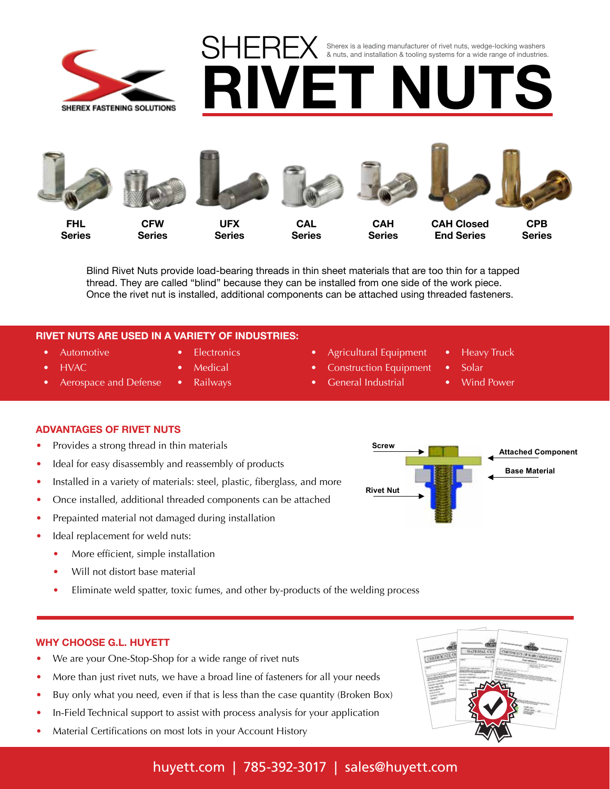

**SHEREX** Sherex is a leading manufacturer of rivet nuts, wedge-locking washers & nuts, and installation & tooling systems for a wide range of industries.



**Series**

**Series**

**Series**

**Series**

**Series**

**RIVET NUTS**

**Series**

Blind Rivet Nuts provide load-bearing threads in thin sheet materials that are too thin for a tapped thread. They are called "blind" because they can be installed from one side of the work piece. Once the rivet nut is installed, additional components can be attached using threaded fasteners.

### **RIVET NUTS ARE USED IN A VARIETY OF INDUSTRIES:**

- Automotive • HVAC
- **Electronics**
- **Medical** 
	- Railways
- Agricultural Equipment
	- Construction Equipment

thin sheet materials that are too thin for a tapped on  $\mathcal{O}_\mathcal{A}$ 

- General Industrial Wind Po
- **Rivet Nut Introduction** Heavy Truck
	- **Solar**
	- **Wind Power**

• Aerospace and Defense

# **ADVANTAGES OF RIVET NUTS**

- Provides a strong thread in thin materials
- Ideal for easy disassembly and reassembly of products
- Installed in a variety of materials: steel, plastic, fiberglass, and more
- Once installed, additional threaded components can be attached
- Prepainted material not damaged during installation
- Ideal replacement for weld nuts:
	- More efficient, simple installation
	- Will not distort base material
	- Eliminate weld spatter, toxic fumes, and other by-products of the welding process

## **WHY CHOOSE G.L. HUYETT**

- We are your One-Stop-Shop for a wide range of rivet nuts
- More than just rivet nuts, we have a broad line of fasteners for all your needs
- Buy only what you need, even if that is less than the case quantity (Broken Box)
- **•** In-Field Technical support to assist with process analysis for your application
- Material Certifications on most lots in your Account History



# huyett.com | 785-392-3017 | sales@huyett.com

**Base Material Attached Component Screw Rivet Nut**